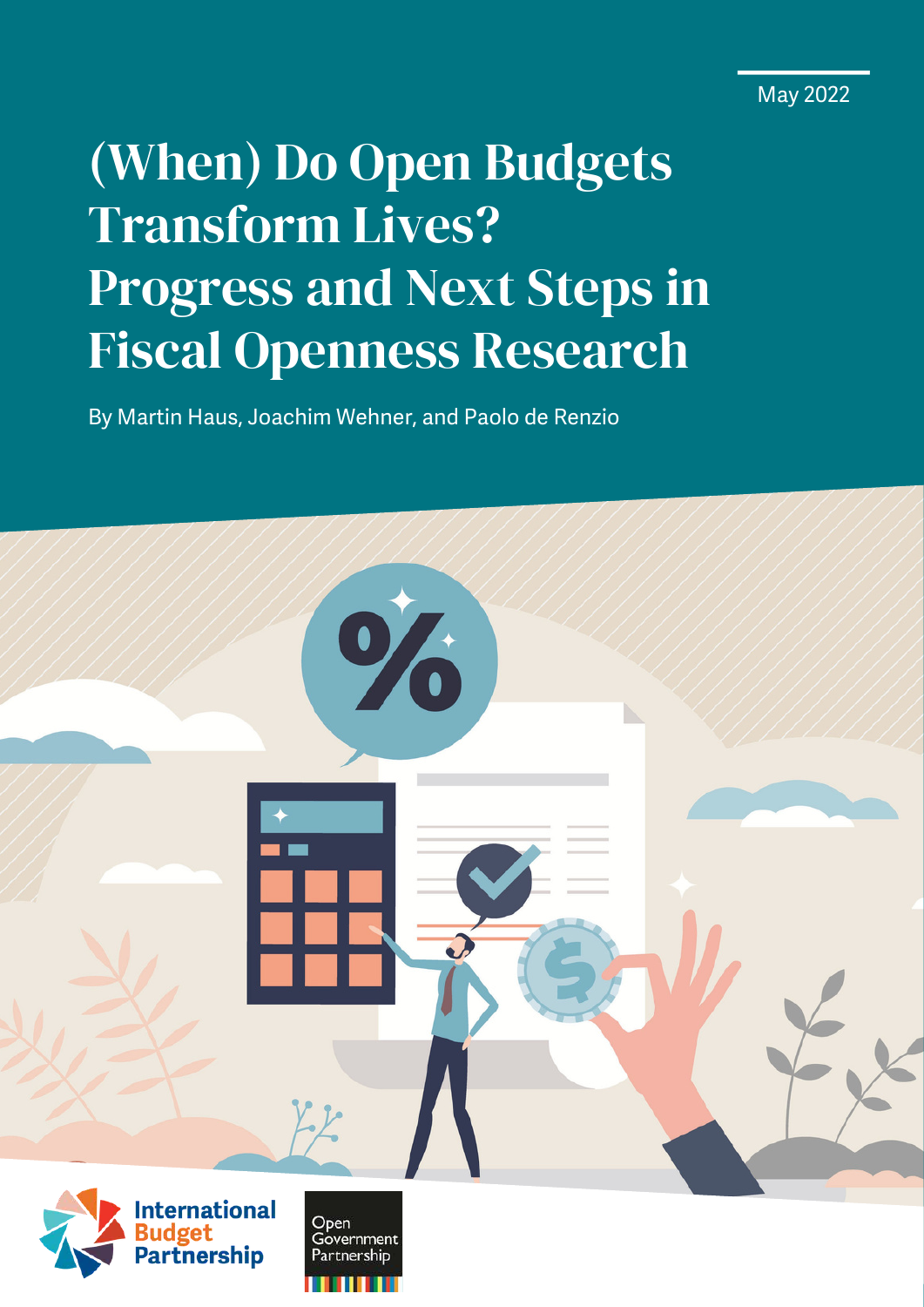May 2022

# (When) Do Open Budgets Transform Lives? Progress and Next Steps in Fiscal Openness Research

By Martin Haus, Joachim Wehner, and Paolo de Renzio

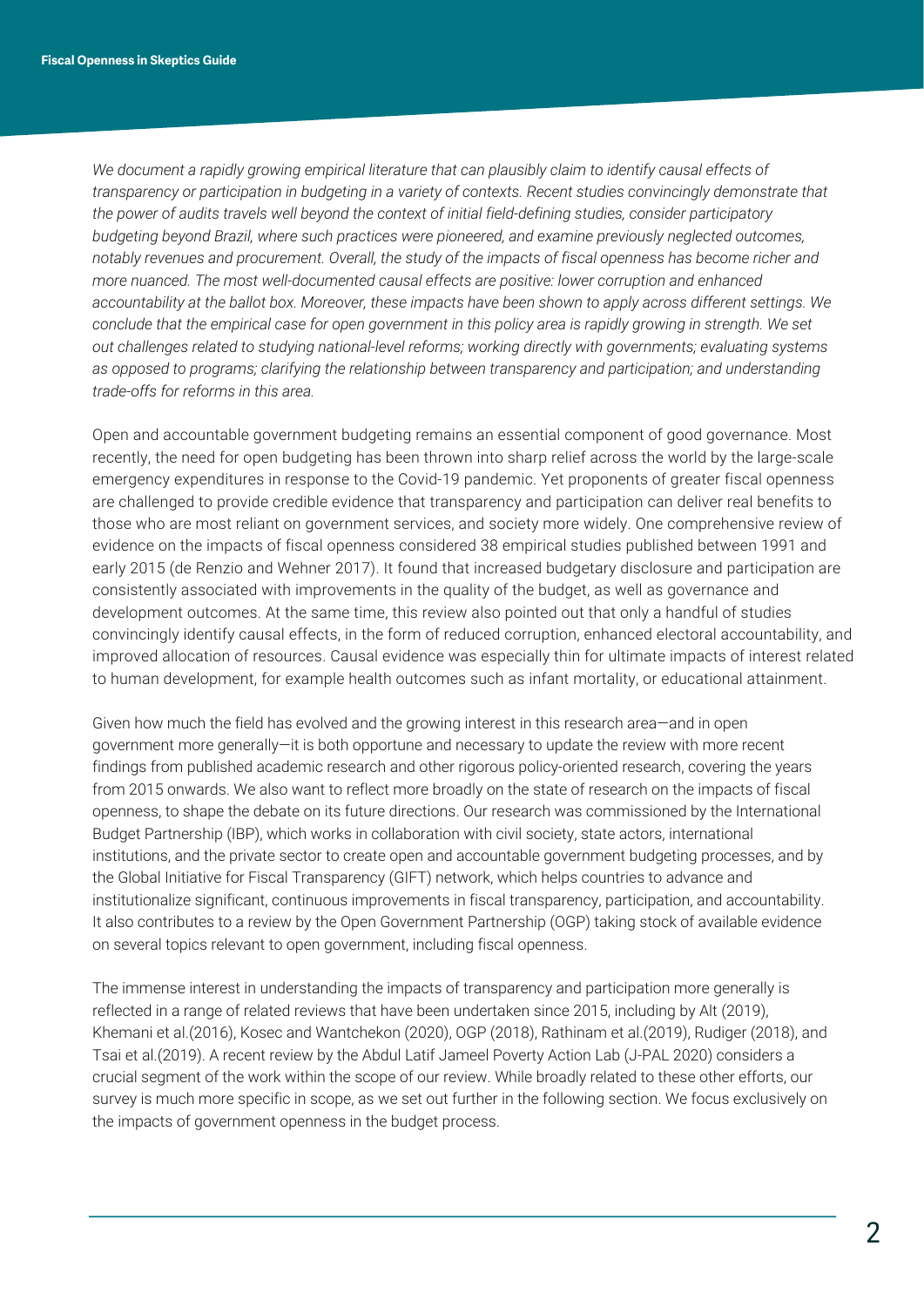*We document a rapidly growing empirical literature that can plausibly claim to identify causal effects of*  transparency or participation in budgeting in a variety of contexts. Recent studies convincingly demonstrate that *the power of audits travels well beyond the context of initial field-defining studies, consider participatory budgeting beyond Brazil, where such practices were pioneered, and examine previously neglected outcomes, notably revenues and procurement. Overall, the study of the impacts of fiscal openness has become richer and more nuanced. The most well-documented causal effects are positive: lower corruption and enhanced accountability at the ballot box. Moreover, these impacts have been shown to apply across different settings. We conclude that the empirical case for open government in this policy area is rapidly growing in strength. We set out challenges related to studying national-level reforms; working directly with governments; evaluating systems as opposed to programs; clarifying the relationship between transparency and participation; and understanding trade-offs for reforms in this area.*

Open and accountable government budgeting remains an essential component of good governance. Most recently, the need for open budgeting has been thrown into sharp relief across the world by the large-scale emergency expenditures in response to the Covid-19 pandemic. Yet proponents of greater fiscal openness are challenged to provide credible evidence that transparency and participation can deliver real benefits to those who are most reliant on government services, and society more widely. One comprehensive review of evidence on the impacts of fiscal openness considered 38 empirical studies published between 1991 and early 2015 (de Renzio and Wehner 2017). It found that increased budgetary disclosure and participation are consistently associated with improvements in the quality of the budget, as well as governance and development outcomes. At the same time, this review also pointed out that only a handful of studies convincingly identify causal effects, in the form of reduced corruption, enhanced electoral accountability, and improved allocation of resources. Causal evidence was especially thin for ultimate impacts of interest related to human development, for example health outcomes such as infant mortality, or educational attainment.

Given how much the field has evolved and the growing interest in this research area—and in open government more generally—it is both opportune and necessary to update the review with more recent findings from published academic research and other rigorous policy-oriented research, covering the years from 2015 onwards. We also want to reflect more broadly on the state of research on the impacts of fiscal openness, to shape the debate on its future directions. Our research was commissioned by the International Budget Partnership (IBP), which works in collaboration with civil society, state actors, international institutions, and the private sector to create open and accountable government budgeting processes, and by the Global Initiative for Fiscal Transparency (GIFT) network, which helps countries to advance and institutionalize significant, continuous improvements in fiscal transparency, participation, and accountability. It also contributes to a review by the Open Government Partnership (OGP) taking stock of available evidence on several topics relevant to open government, including fiscal openness.

The immense interest in understanding the impacts of transparency and participation more generally is reflected in a range of related reviews that have been undertaken since 2015, including by Alt (2019), Khemani et al.(2016), Kosec and Wantchekon (2020), OGP (2018), Rathinam et al.(2019), Rudiger (2018), and Tsai et al.(2019). A recent review by the Abdul Latif Jameel Poverty Action Lab (J-PAL 2020) considers a crucial segment of the work within the scope of our review. While broadly related to these other efforts, our survey is much more specific in scope, as we set out further in the following section. We focus exclusively on the impacts of government openness in the budget process.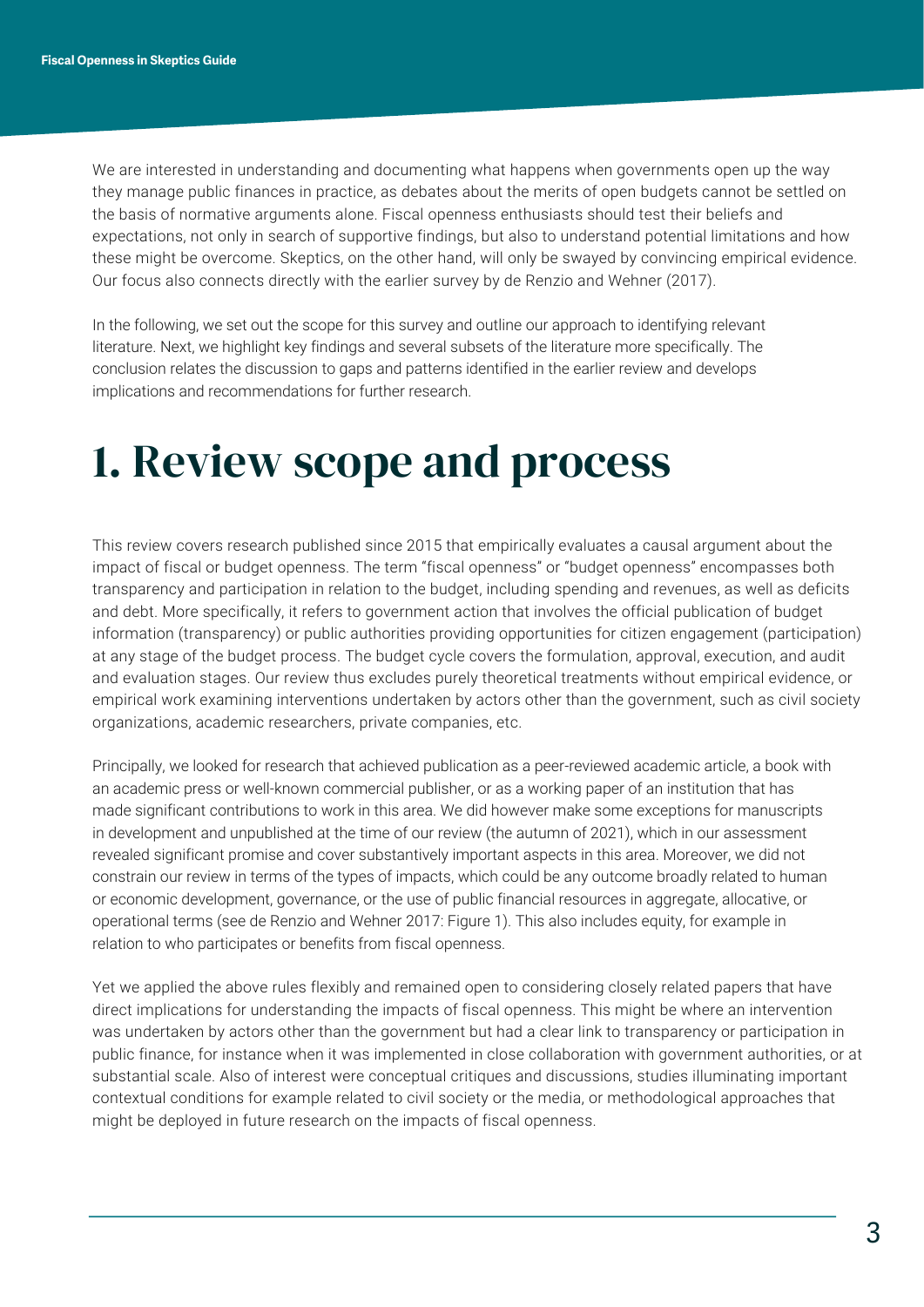We are interested in understanding and documenting what happens when governments open up the way they manage public finances in practice, as debates about the merits of open budgets cannot be settled on the basis of normative arguments alone. Fiscal openness enthusiasts should test their beliefs and expectations, not only in search of supportive findings, but also to understand potential limitations and how these might be overcome. Skeptics, on the other hand, will only be swayed by convincing empirical evidence. Our focus also connects directly with the earlier survey by de Renzio and Wehner (2017).

In the following, we set out the scope for this survey and outline our approach to identifying relevant literature. Next, we highlight key findings and several subsets of the literature more specifically. The conclusion relates the discussion to gaps and patterns identified in the earlier review and develops implications and recommendations for further research.

### 1. Review scope and process

This review covers research published since 2015 that empirically evaluates a causal argument about the impact of fiscal or budget openness. The term "fiscal openness" or "budget openness" encompasses both transparency and participation in relation to the budget, including spending and revenues, as well as deficits and debt. More specifically, it refers to government action that involves the official publication of budget information (transparency) or public authorities providing opportunities for citizen engagement (participation) at any stage of the budget process. The budget cycle covers the formulation, approval, execution, and audit and evaluation stages. Our review thus excludes purely theoretical treatments without empirical evidence, or empirical work examining interventions undertaken by actors other than the government, such as civil society organizations, academic researchers, private companies, etc.

Principally, we looked for research that achieved publication as a peer-reviewed academic article, a book with an academic press or well-known commercial publisher, or as a working paper of an institution that has made significant contributions to work in this area. We did however make some exceptions for manuscripts in development and unpublished at the time of our review (the autumn of 2021), which in our assessment revealed significant promise and cover substantively important aspects in this area. Moreover, we did not constrain our review in terms of the types of impacts, which could be any outcome broadly related to human or economic development, governance, or the use of public financial resources in aggregate, allocative, or operational terms (see de Renzio and Wehner 2017: Figure 1). This also includes equity, for example in relation to who participates or benefits from fiscal openness.

Yet we applied the above rules flexibly and remained open to considering closely related papers that have direct implications for understanding the impacts of fiscal openness. This might be where an intervention was undertaken by actors other than the government but had a clear link to transparency or participation in public finance, for instance when it was implemented in close collaboration with government authorities, or at substantial scale. Also of interest were conceptual critiques and discussions, studies illuminating important contextual conditions for example related to civil society or the media, or methodological approaches that might be deployed in future research on the impacts of fiscal openness.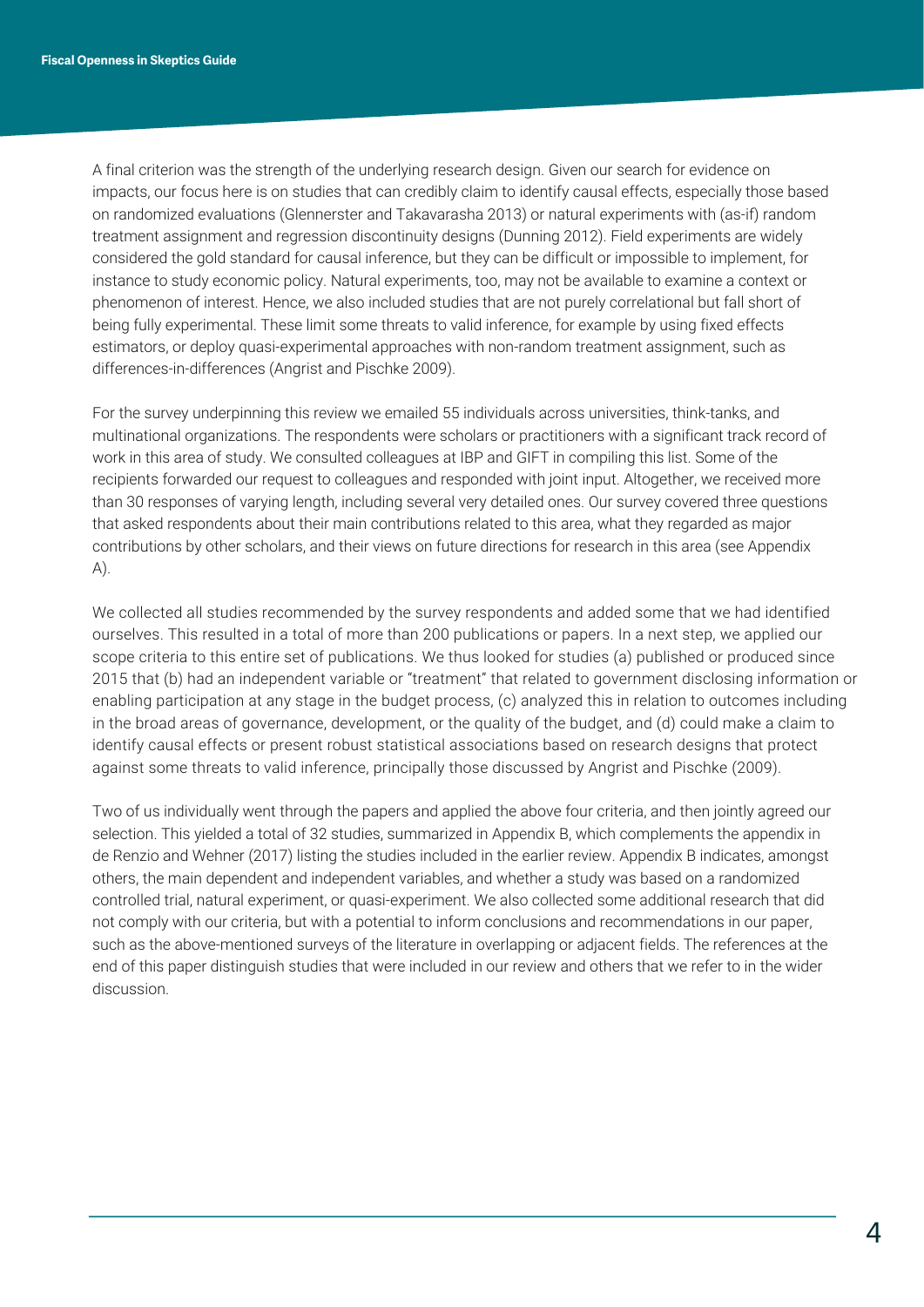A final criterion was the strength of the underlying research design. Given our search for evidence on impacts, our focus here is on studies that can credibly claim to identify causal effects, especially those based on randomized evaluations (Glennerster and Takavarasha 2013) or natural experiments with (as-if) random treatment assignment and regression discontinuity designs (Dunning 2012). Field experiments are widely considered the gold standard for causal inference, but they can be difficult or impossible to implement, for instance to study economic policy. Natural experiments, too, may not be available to examine a context or phenomenon of interest. Hence, we also included studies that are not purely correlational but fall short of being fully experimental. These limit some threats to valid inference, for example by using fixed effects estimators, or deploy quasi-experimental approaches with non-random treatment assignment, such as differences-in-differences (Angrist and Pischke 2009).

For the survey underpinning this review we emailed 55 individuals across universities, think-tanks, and multinational organizations. The respondents were scholars or practitioners with a significant track record of work in this area of study. We consulted colleagues at IBP and GIFT in compiling this list. Some of the recipients forwarded our request to colleagues and responded with joint input. Altogether, we received more than 30 responses of varying length, including several very detailed ones. Our survey covered three questions that asked respondents about their main contributions related to this area, what they regarded as major contributions by other scholars, and their views on future directions for research in this area (see Appendix A).

We collected all studies recommended by the survey respondents and added some that we had identified ourselves. This resulted in a total of more than 200 publications or papers. In a next step, we applied our scope criteria to this entire set of publications. We thus looked for studies (a) published or produced since 2015 that (b) had an independent variable or "treatment" that related to government disclosing information or enabling participation at any stage in the budget process, (c) analyzed this in relation to outcomes including in the broad areas of governance, development, or the quality of the budget, and (d) could make a claim to identify causal effects or present robust statistical associations based on research designs that protect against some threats to valid inference, principally those discussed by Angrist and Pischke (2009).

Two of us individually went through the papers and applied the above four criteria, and then jointly agreed our selection. This yielded a total of 32 studies, summarized in Appendix B, which complements the appendix in de Renzio and Wehner (2017) listing the studies included in the earlier review. Appendix B indicates, amongst others, the main dependent and independent variables, and whether a study was based on a randomized controlled trial, natural experiment, or quasi-experiment. We also collected some additional research that did not comply with our criteria, but with a potential to inform conclusions and recommendations in our paper, such as the above-mentioned surveys of the literature in overlapping or adjacent fields. The references at the end of this paper distinguish studies that were included in our review and others that we refer to in the wider discussion.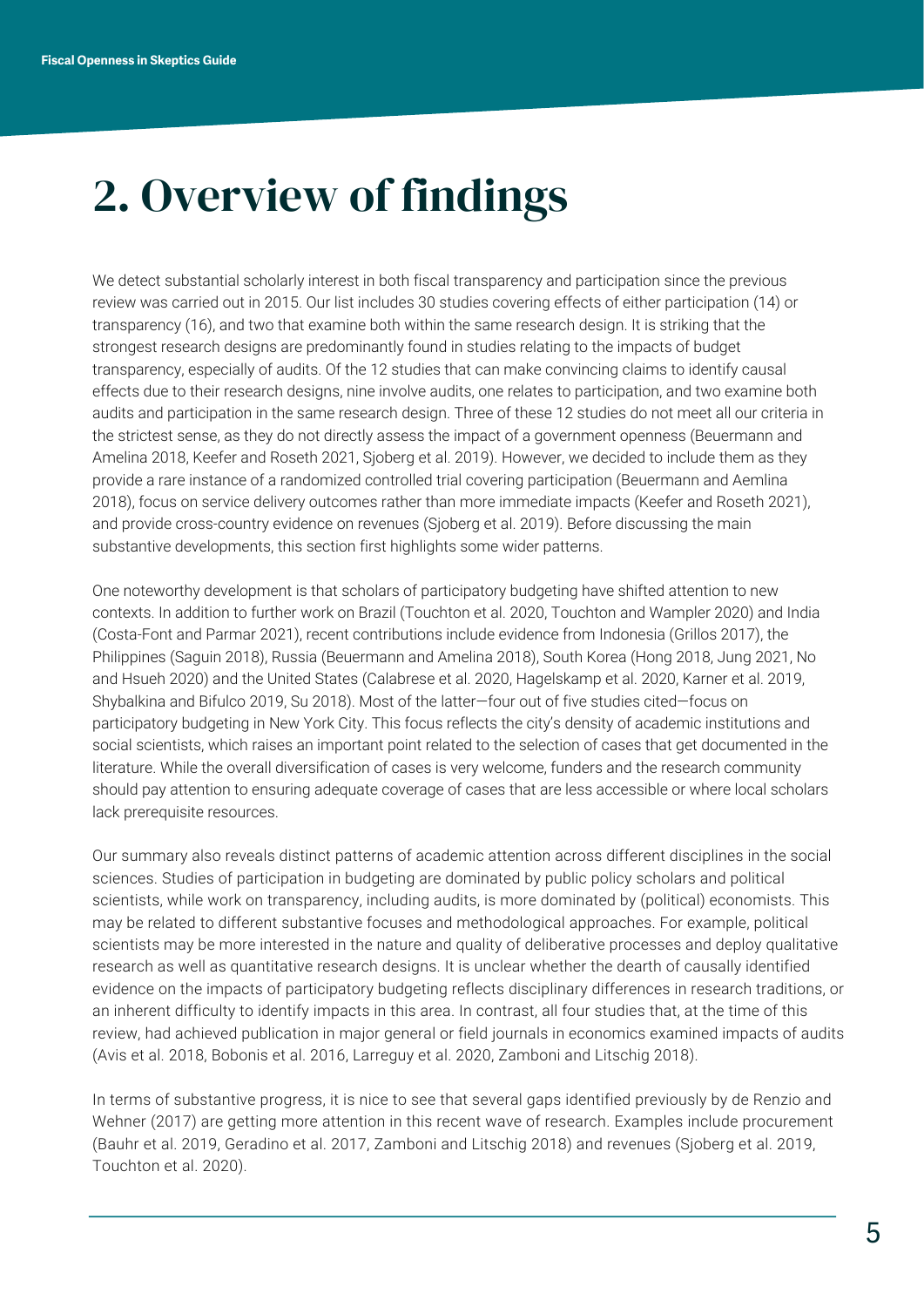### 2. Overview of findings

We detect substantial scholarly interest in both fiscal transparency and participation since the previous review was carried out in 2015. Our list includes 30 studies covering effects of either participation (14) or transparency (16), and two that examine both within the same research design. It is striking that the strongest research designs are predominantly found in studies relating to the impacts of budget transparency, especially of audits. Of the 12 studies that can make convincing claims to identify causal effects due to their research designs, nine involve audits, one relates to participation, and two examine both audits and participation in the same research design. Three of these 12 studies do not meet all our criteria in the strictest sense, as they do not directly assess the impact of a government openness (Beuermann and Amelina 2018, Keefer and Roseth 2021, Sjoberg et al. 2019). However, we decided to include them as they provide a rare instance of a randomized controlled trial covering participation (Beuermann and Aemlina 2018), focus on service delivery outcomes rather than more immediate impacts (Keefer and Roseth 2021), and provide cross-country evidence on revenues (Sjoberg et al. 2019). Before discussing the main substantive developments, this section first highlights some wider patterns.

One noteworthy development is that scholars of participatory budgeting have shifted attention to new contexts. In addition to further work on Brazil (Touchton et al. 2020, Touchton and Wampler 2020) and India (Costa-Font and Parmar 2021), recent contributions include evidence from Indonesia (Grillos 2017), the Philippines (Saguin 2018), Russia (Beuermann and Amelina 2018), South Korea (Hong 2018, Jung 2021, No and Hsueh 2020) and the United States (Calabrese et al. 2020, Hagelskamp et al. 2020, Karner et al. 2019, Shybalkina and Bifulco 2019, Su 2018). Most of the latter—four out of five studies cited—focus on participatory budgeting in New York City. This focus reflects the city's density of academic institutions and social scientists, which raises an important point related to the selection of cases that get documented in the literature. While the overall diversification of cases is very welcome, funders and the research community should pay attention to ensuring adequate coverage of cases that are less accessible or where local scholars lack prerequisite resources.

Our summary also reveals distinct patterns of academic attention across different disciplines in the social sciences. Studies of participation in budgeting are dominated by public policy scholars and political scientists, while work on transparency, including audits, is more dominated by (political) economists. This may be related to different substantive focuses and methodological approaches. For example, political scientists may be more interested in the nature and quality of deliberative processes and deploy qualitative research as well as quantitative research designs. It is unclear whether the dearth of causally identified evidence on the impacts of participatory budgeting reflects disciplinary differences in research traditions, or an inherent difficulty to identify impacts in this area. In contrast, all four studies that, at the time of this review, had achieved publication in major general or field journals in economics examined impacts of audits (Avis et al. 2018, Bobonis et al. 2016, Larreguy et al. 2020, Zamboni and Litschig 2018).

In terms of substantive progress, it is nice to see that several gaps identified previously by de Renzio and Wehner (2017) are getting more attention in this recent wave of research. Examples include procurement (Bauhr et al. 2019, Geradino et al. 2017, Zamboni and Litschig 2018) and revenues (Sjoberg et al. 2019, Touchton et al. 2020).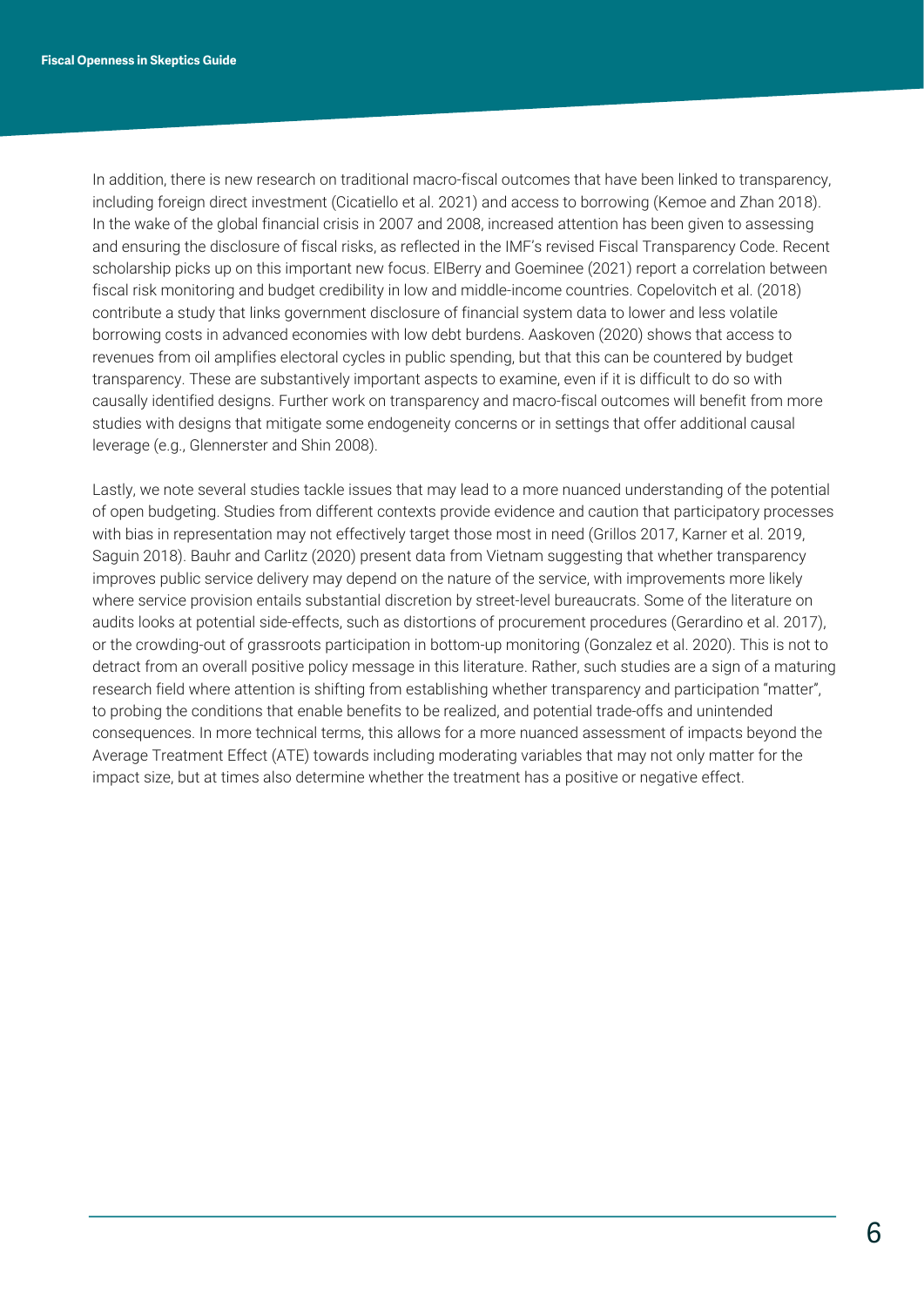In addition, there is new research on traditional macro-fiscal outcomes that have been linked to transparency, including foreign direct investment (Cicatiello et al. 2021) and access to borrowing (Kemoe and Zhan 2018). In the wake of the global financial crisis in 2007 and 2008, increased attention has been given to assessing and ensuring the disclosure of fiscal risks, as reflected in the IMF's revised Fiscal Transparency Code. Recent scholarship picks up on this important new focus. ElBerry and Goeminee (2021) report a correlation between fiscal risk monitoring and budget credibility in low and middle-income countries. Copelovitch et al. (2018) contribute a study that links government disclosure of financial system data to lower and less volatile borrowing costs in advanced economies with low debt burdens. Aaskoven (2020) shows that access to revenues from oil amplifies electoral cycles in public spending, but that this can be countered by budget transparency. These are substantively important aspects to examine, even if it is difficult to do so with causally identified designs. Further work on transparency and macro-fiscal outcomes will benefit from more studies with designs that mitigate some endogeneity concerns or in settings that offer additional causal leverage (e.g., Glennerster and Shin 2008).

Lastly, we note several studies tackle issues that may lead to a more nuanced understanding of the potential of open budgeting. Studies from different contexts provide evidence and caution that participatory processes with bias in representation may not effectively target those most in need (Grillos 2017, Karner et al. 2019, Saguin 2018). Bauhr and Carlitz (2020) present data from Vietnam suggesting that whether transparency improves public service delivery may depend on the nature of the service, with improvements more likely where service provision entails substantial discretion by street-level bureaucrats. Some of the literature on audits looks at potential side-effects, such as distortions of procurement procedures (Gerardino et al. 2017), or the crowding-out of grassroots participation in bottom-up monitoring (Gonzalez et al. 2020). This is not to detract from an overall positive policy message in this literature. Rather, such studies are a sign of a maturing research field where attention is shifting from establishing whether transparency and participation "matter", to probing the conditions that enable benefits to be realized, and potential trade-offs and unintended consequences. In more technical terms, this allows for a more nuanced assessment of impacts beyond the Average Treatment Effect (ATE) towards including moderating variables that may not only matter for the impact size, but at times also determine whether the treatment has a positive or negative effect.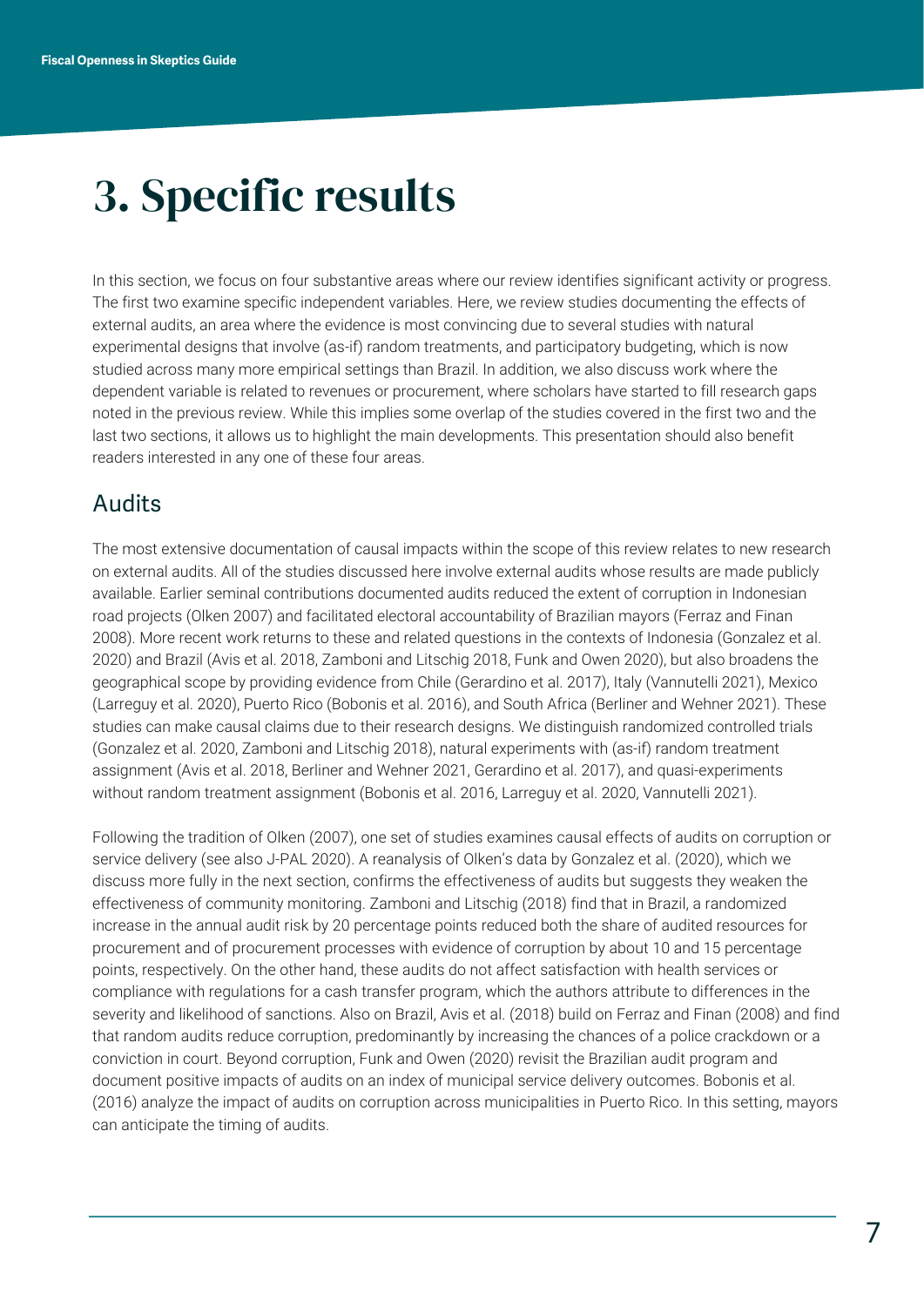## 3. Specific results

In this section, we focus on four substantive areas where our review identifies significant activity or progress. The first two examine specific independent variables. Here, we review studies documenting the effects of external audits, an area where the evidence is most convincing due to several studies with natural experimental designs that involve (as-if) random treatments, and participatory budgeting, which is now studied across many more empirical settings than Brazil. In addition, we also discuss work where the dependent variable is related to revenues or procurement, where scholars have started to fill research gaps noted in the previous review. While this implies some overlap of the studies covered in the first two and the last two sections, it allows us to highlight the main developments. This presentation should also benefit readers interested in any one of these four areas.

#### Audits

The most extensive documentation of causal impacts within the scope of this review relates to new research on external audits. All of the studies discussed here involve external audits whose results are made publicly available. Earlier seminal contributions documented audits reduced the extent of corruption in Indonesian road projects (Olken 2007) and facilitated electoral accountability of Brazilian mayors (Ferraz and Finan 2008). More recent work returns to these and related questions in the contexts of Indonesia (Gonzalez et al. 2020) and Brazil (Avis et al. 2018, Zamboni and Litschig 2018, Funk and Owen 2020), but also broadens the geographical scope by providing evidence from Chile (Gerardino et al. 2017), Italy (Vannutelli 2021), Mexico (Larreguy et al. 2020), Puerto Rico (Bobonis et al. 2016), and South Africa (Berliner and Wehner 2021). These studies can make causal claims due to their research designs. We distinguish randomized controlled trials (Gonzalez et al. 2020, Zamboni and Litschig 2018), natural experiments with (as-if) random treatment assignment (Avis et al. 2018, Berliner and Wehner 2021, Gerardino et al. 2017), and quasi-experiments without random treatment assignment (Bobonis et al. 2016, Larreguy et al. 2020, Vannutelli 2021).

Following the tradition of Olken (2007), one set of studies examines causal effects of audits on corruption or service delivery (see also J-PAL 2020). A reanalysis of Olken's data by Gonzalez et al. (2020), which we discuss more fully in the next section, confirms the effectiveness of audits but suggests they weaken the effectiveness of community monitoring. Zamboni and Litschig (2018) find that in Brazil, a randomized increase in the annual audit risk by 20 percentage points reduced both the share of audited resources for procurement and of procurement processes with evidence of corruption by about 10 and 15 percentage points, respectively. On the other hand, these audits do not affect satisfaction with health services or compliance with regulations for a cash transfer program, which the authors attribute to differences in the severity and likelihood of sanctions. Also on Brazil, Avis et al. (2018) build on Ferraz and Finan (2008) and find that random audits reduce corruption, predominantly by increasing the chances of a police crackdown or a conviction in court. Beyond corruption, Funk and Owen (2020) revisit the Brazilian audit program and document positive impacts of audits on an index of municipal service delivery outcomes. Bobonis et al. (2016) analyze the impact of audits on corruption across municipalities in Puerto Rico. In this setting, mayors can anticipate the timing of audits.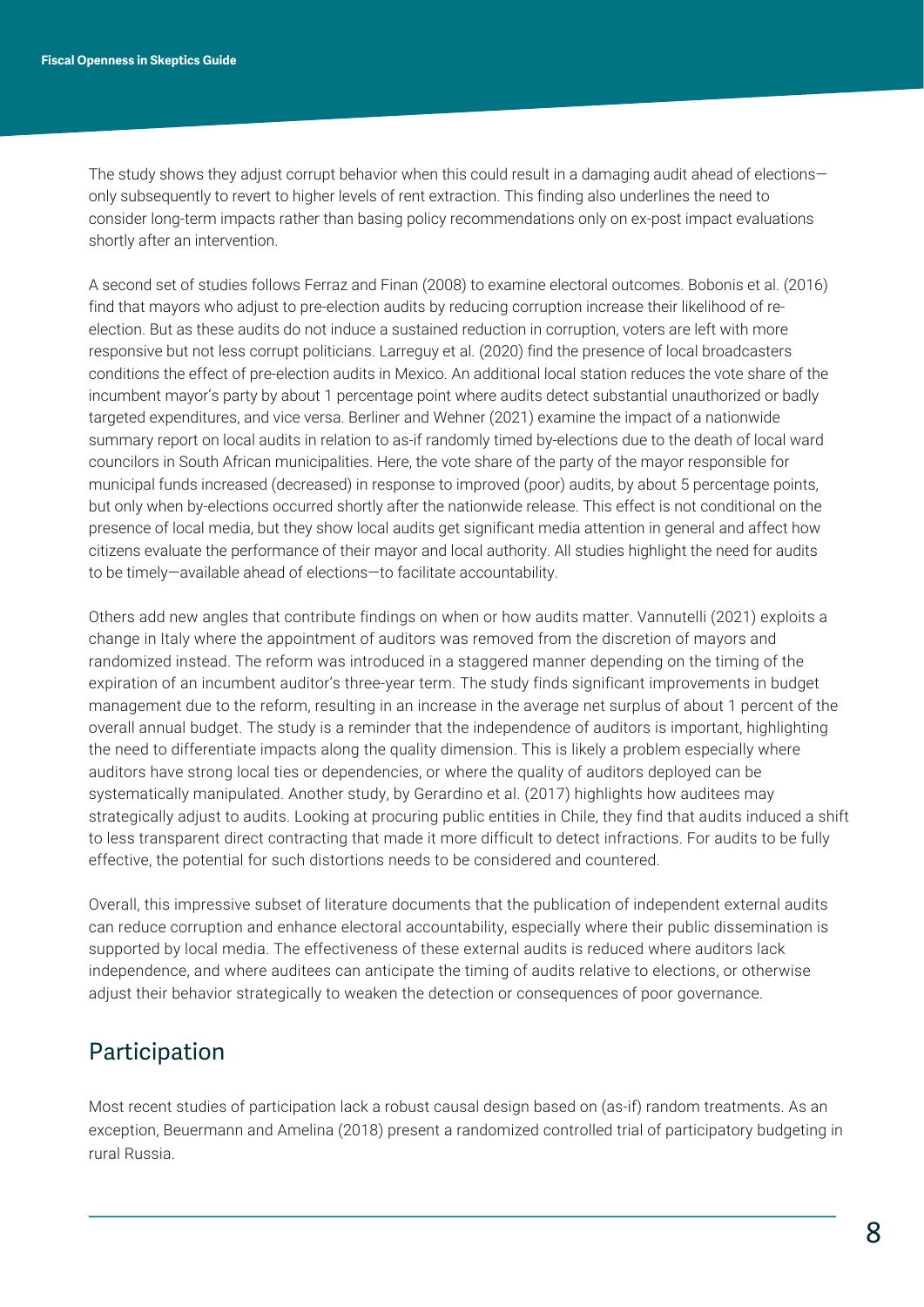The study shows they adjust corrupt behavior when this could result in a damaging audit ahead of elections only subsequently to revert to higher levels of rent extraction. This finding also underlines the need to consider long-term impacts rather than basing policy recommendations only on ex-post impact evaluations shortly after an intervention.

A second set of studies follows Ferraz and Finan (2008) to examine electoral outcomes. Bobonis et al. (2016) find that mayors who adjust to pre-election audits by reducing corruption increase their likelihood of reelection. But as these audits do not induce a sustained reduction in corruption, voters are left with more responsive but not less corrupt politicians. Larreguy et al. (2020) find the presence of local broadcasters conditions the effect of pre-election audits in Mexico. An additional local station reduces the vote share of the incumbent mayor's party by about 1 percentage point where audits detect substantial unauthorized or badly targeted expenditures, and vice versa. Berliner and Wehner (2021) examine the impact of a nationwide summary report on local audits in relation to as-if randomly timed by-elections due to the death of local ward councilors in South African municipalities. Here, the vote share of the party of the mayor responsible for municipal funds increased (decreased) in response to improved (poor) audits, by about 5 percentage points, but only when by-elections occurred shortly after the nationwide release. This effect is not conditional on the presence of local media, but they show local audits get significant media attention in general and affect how citizens evaluate the performance of their mayor and local authority. All studies highlight the need for audits to be timely—available ahead of elections—to facilitate accountability.

Others add new angles that contribute findings on when or how audits matter. Vannutelli (2021) exploits a change in Italy where the appointment of auditors was removed from the discretion of mayors and randomized instead. The reform was introduced in a staggered manner depending on the timing of the expiration of an incumbent auditor's three-year term. The study finds significant improvements in budget management due to the reform, resulting in an increase in the average net surplus of about 1 percent of the overall annual budget. The study is a reminder that the independence of auditors is important, highlighting the need to differentiate impacts along the quality dimension. This is likely a problem especially where auditors have strong local ties or dependencies, or where the quality of auditors deployed can be systematically manipulated. Another study, by Gerardino et al. (2017) highlights how auditees may strategically adjust to audits. Looking at procuring public entities in Chile, they find that audits induced a shift to less transparent direct contracting that made it more difficult to detect infractions. For audits to be fully effective, the potential for such distortions needs to be considered and countered.

Overall, this impressive subset of literature documents that the publication of independent external audits can reduce corruption and enhance electoral accountability, especially where their public dissemination is supported by local media. The effectiveness of these external audits is reduced where auditors lack independence, and where auditees can anticipate the timing of audits relative to elections, or otherwise adjust their behavior strategically to weaken the detection or consequences of poor governance.

#### Participation

Most recent studies of participation lack a robust causal design based on (as-if) random treatments. As an exception, Beuermann and Amelina (2018) present a randomized controlled trial of participatory budgeting in rural Russia.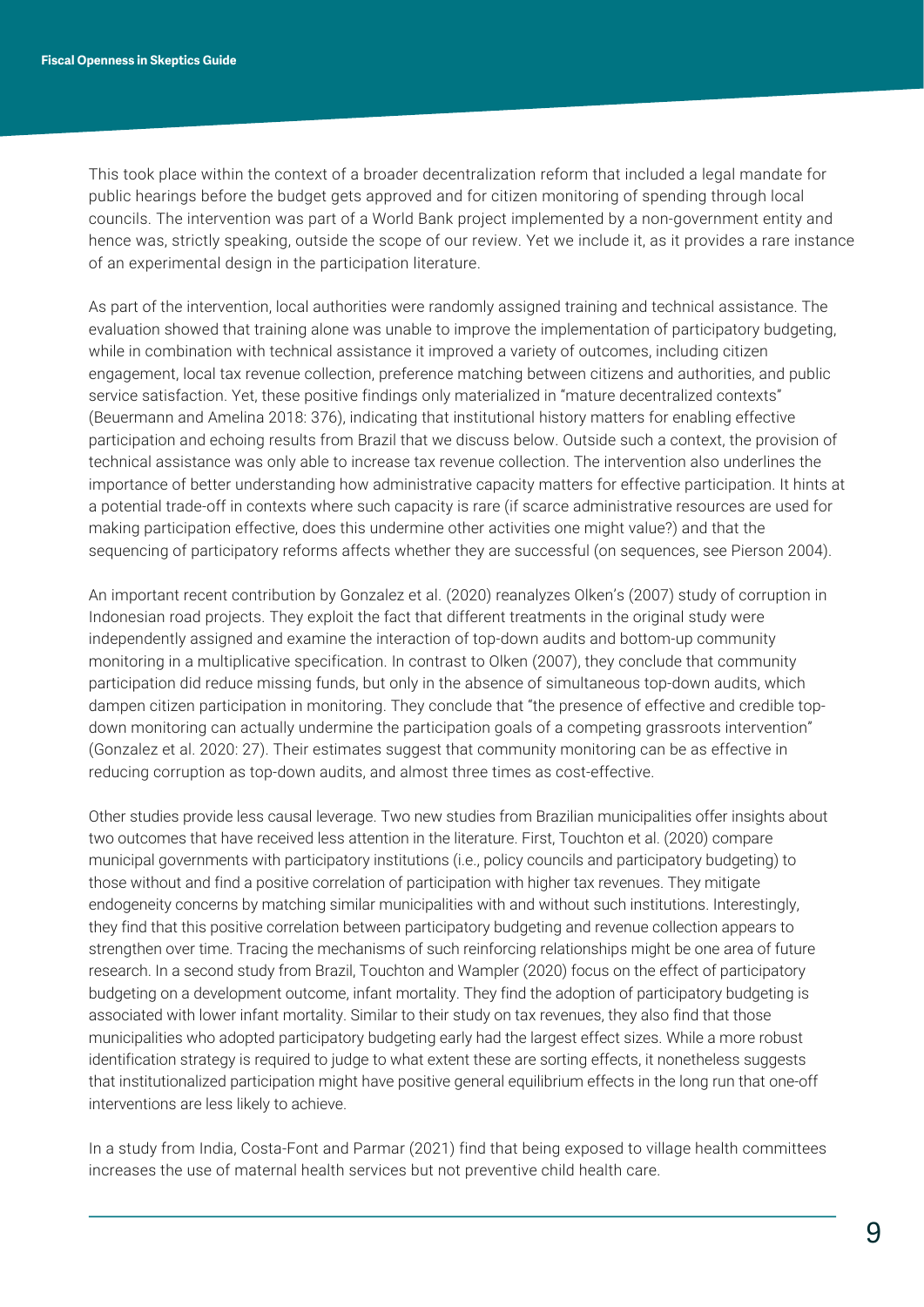This took place within the context of a broader decentralization reform that included a legal mandate for public hearings before the budget gets approved and for citizen monitoring of spending through local councils. The intervention was part of a World Bank project implemented by a non-government entity and hence was, strictly speaking, outside the scope of our review. Yet we include it, as it provides a rare instance of an experimental design in the participation literature.

As part of the intervention, local authorities were randomly assigned training and technical assistance. The evaluation showed that training alone was unable to improve the implementation of participatory budgeting, while in combination with technical assistance it improved a variety of outcomes, including citizen engagement, local tax revenue collection, preference matching between citizens and authorities, and public service satisfaction. Yet, these positive findings only materialized in "mature decentralized contexts" (Beuermann and Amelina 2018: 376), indicating that institutional history matters for enabling effective participation and echoing results from Brazil that we discuss below. Outside such a context, the provision of technical assistance was only able to increase tax revenue collection. The intervention also underlines the importance of better understanding how administrative capacity matters for effective participation. It hints at a potential trade-off in contexts where such capacity is rare (if scarce administrative resources are used for making participation effective, does this undermine other activities one might value?) and that the sequencing of participatory reforms affects whether they are successful (on sequences, see Pierson 2004).

An important recent contribution by Gonzalez et al. (2020) reanalyzes Olken's (2007) study of corruption in Indonesian road projects. They exploit the fact that different treatments in the original study were independently assigned and examine the interaction of top-down audits and bottom-up community monitoring in a multiplicative specification. In contrast to Olken (2007), they conclude that community participation did reduce missing funds, but only in the absence of simultaneous top-down audits, which dampen citizen participation in monitoring. They conclude that "the presence of effective and credible topdown monitoring can actually undermine the participation goals of a competing grassroots intervention" (Gonzalez et al. 2020: 27). Their estimates suggest that community monitoring can be as effective in reducing corruption as top-down audits, and almost three times as cost-effective.

Other studies provide less causal leverage. Two new studies from Brazilian municipalities offer insights about two outcomes that have received less attention in the literature. First, Touchton et al. (2020) compare municipal governments with participatory institutions (i.e., policy councils and participatory budgeting) to those without and find a positive correlation of participation with higher tax revenues. They mitigate endogeneity concerns by matching similar municipalities with and without such institutions. Interestingly, they find that this positive correlation between participatory budgeting and revenue collection appears to strengthen over time. Tracing the mechanisms of such reinforcing relationships might be one area of future research. In a second study from Brazil, Touchton and Wampler (2020) focus on the effect of participatory budgeting on a development outcome, infant mortality. They find the adoption of participatory budgeting is associated with lower infant mortality. Similar to their study on tax revenues, they also find that those municipalities who adopted participatory budgeting early had the largest effect sizes. While a more robust identification strategy is required to judge to what extent these are sorting effects, it nonetheless suggests that institutionalized participation might have positive general equilibrium effects in the long run that one-off interventions are less likely to achieve.

In a study from India, Costa-Font and Parmar (2021) find that being exposed to village health committees increases the use of maternal health services but not preventive child health care.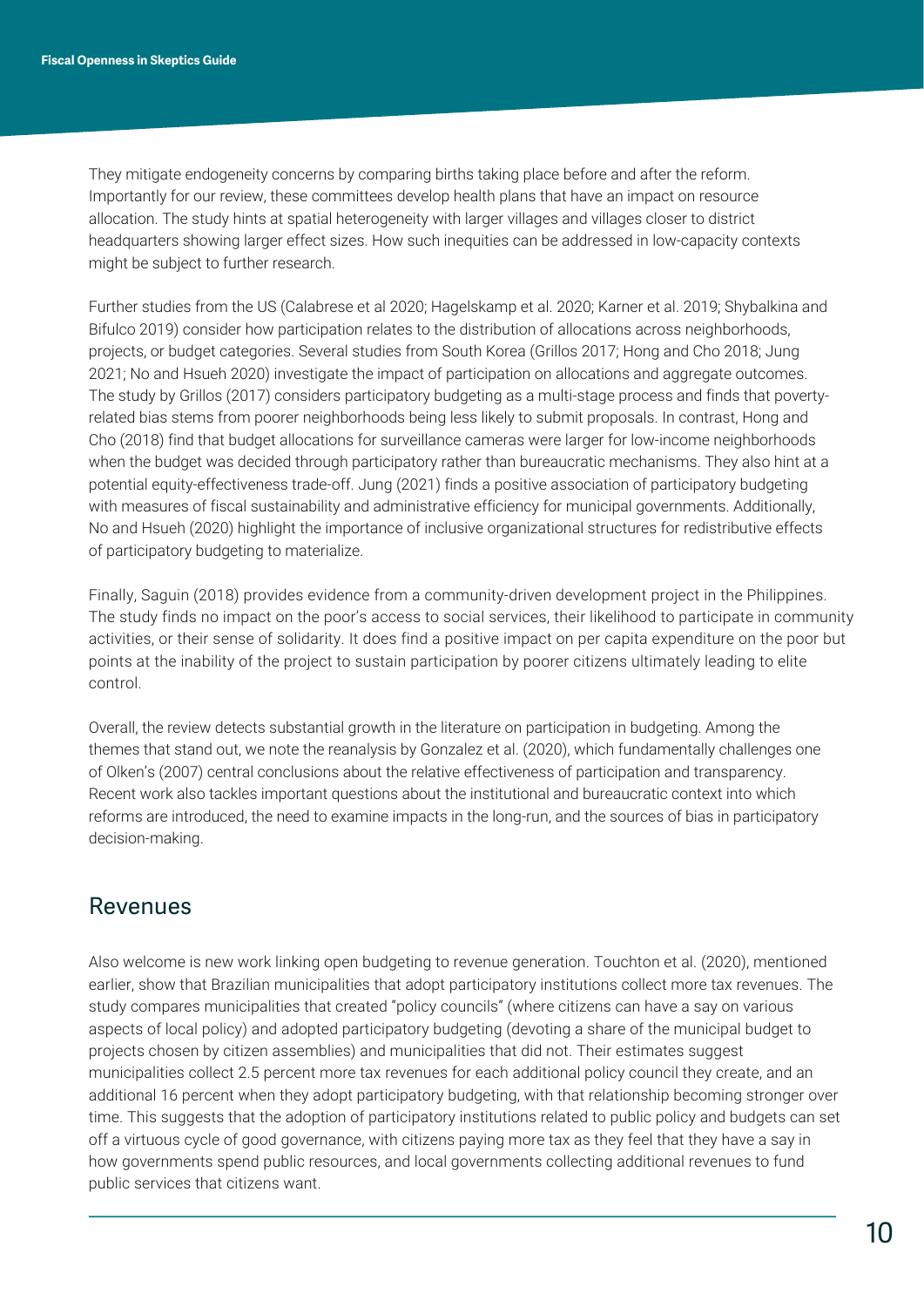They mitigate endogeneity concerns by comparing births taking place before and after the reform. Importantly for our review, these committees develop health plans that have an impact on resource allocation. The study hints at spatial heterogeneity with larger villages and villages closer to district headquarters showing larger effect sizes. How such inequities can be addressed in low-capacity contexts might be subject to further research.

Further studies from the US (Calabrese et al 2020; Hagelskamp et al. 2020; Karner et al. 2019; Shybalkina and Bifulco 2019) consider how participation relates to the distribution of allocations across neighborhoods, projects, or budget categories. Several studies from South Korea (Grillos 2017; Hong and Cho 2018; Jung 2021; No and Hsueh 2020) investigate the impact of participation on allocations and aggregate outcomes. The study by Grillos (2017) considers participatory budgeting as a multi-stage process and finds that povertyrelated bias stems from poorer neighborhoods being less likely to submit proposals. In contrast, Hong and Cho (2018) find that budget allocations for surveillance cameras were larger for low-income neighborhoods when the budget was decided through participatory rather than bureaucratic mechanisms. They also hint at a potential equity-effectiveness trade-off. Jung (2021) finds a positive association of participatory budgeting with measures of fiscal sustainability and administrative efficiency for municipal governments. Additionally, No and Hsueh (2020) highlight the importance of inclusive organizational structures for redistributive effects of participatory budgeting to materialize.

Finally, Saguin (2018) provides evidence from a community-driven development project in the Philippines. The study finds no impact on the poor's access to social services, their likelihood to participate in community activities, or their sense of solidarity. It does find a positive impact on per capita expenditure on the poor but points at the inability of the project to sustain participation by poorer citizens ultimately leading to elite control.

Overall, the review detects substantial growth in the literature on participation in budgeting. Among the themes that stand out, we note the reanalysis by Gonzalez et al. (2020), which fundamentally challenges one of Olken's (2007) central conclusions about the relative effectiveness of participation and transparency. Recent work also tackles important questions about the institutional and bureaucratic context into which reforms are introduced, the need to examine impacts in the long-run, and the sources of bias in participatory decision-making.

#### Revenues

Also welcome is new work linking open budgeting to revenue generation. Touchton et al. (2020), mentioned earlier, show that Brazilian municipalities that adopt participatory institutions collect more tax revenues. The study compares municipalities that created "policy councils" (where citizens can have a say on various aspects of local policy) and adopted participatory budgeting (devoting a share of the municipal budget to projects chosen by citizen assemblies) and municipalities that did not. Their estimates suggest municipalities collect 2.5 percent more tax revenues for each additional policy council they create, and an additional 16 percent when they adopt participatory budgeting, with that relationship becoming stronger over time. This suggests that the adoption of participatory institutions related to public policy and budgets can set off a virtuous cycle of good governance, with citizens paying more tax as they feel that they have a say in how governments spend public resources, and local governments collecting additional revenues to fund public services that citizens want.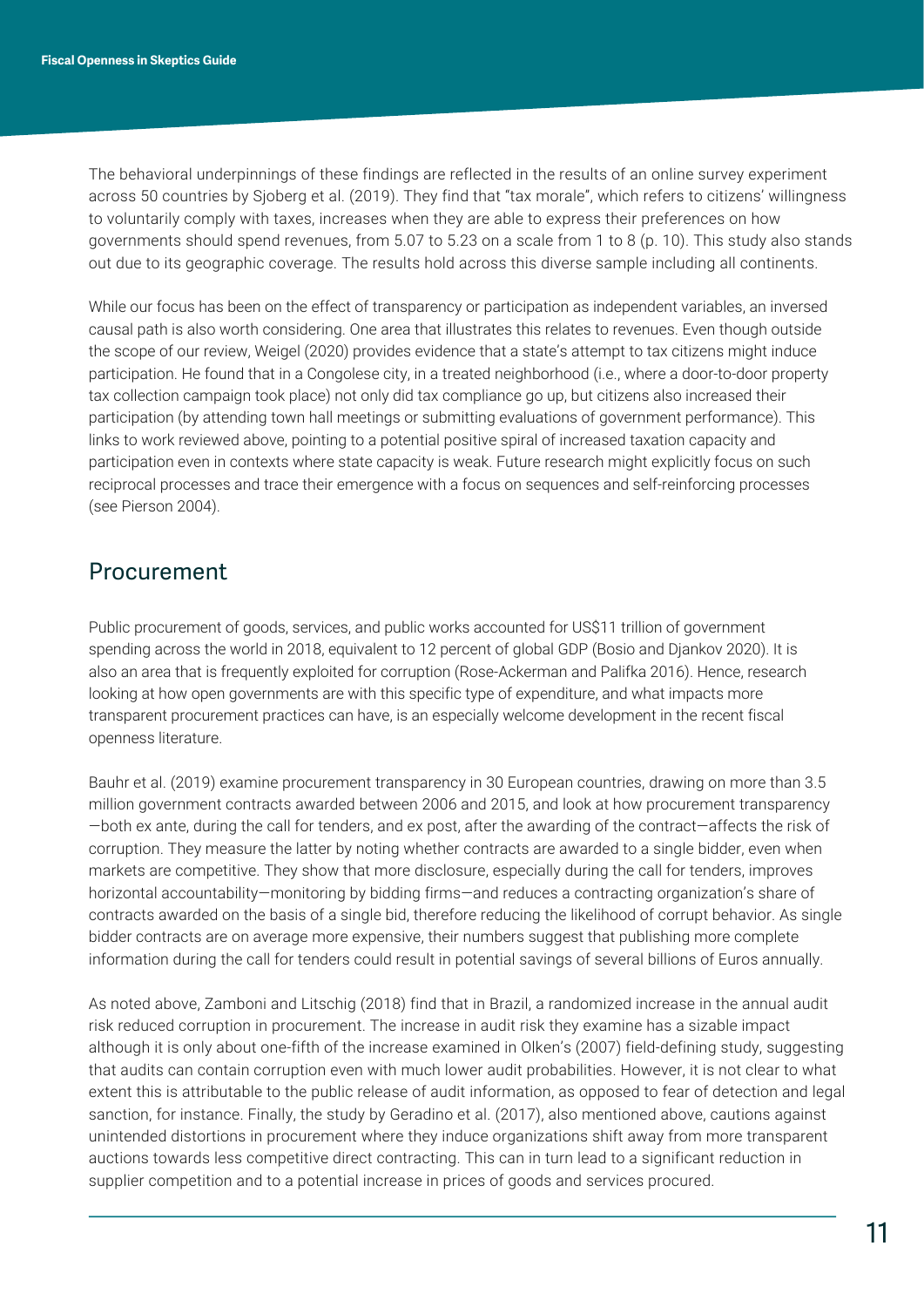The behavioral underpinnings of these findings are reflected in the results of an online survey experiment across 50 countries by Sjoberg et al. (2019). They find that "tax morale", which refers to citizens' willingness to voluntarily comply with taxes, increases when they are able to express their preferences on how governments should spend revenues, from 5.07 to 5.23 on a scale from 1 to 8 (p. 10). This study also stands out due to its geographic coverage. The results hold across this diverse sample including all continents.

While our focus has been on the effect of transparency or participation as independent variables, an inversed causal path is also worth considering. One area that illustrates this relates to revenues. Even though outside the scope of our review, Weigel (2020) provides evidence that a state's attempt to tax citizens might induce participation. He found that in a Congolese city, in a treated neighborhood (i.e., where a door-to-door property tax collection campaign took place) not only did tax compliance go up, but citizens also increased their participation (by attending town hall meetings or submitting evaluations of government performance). This links to work reviewed above, pointing to a potential positive spiral of increased taxation capacity and participation even in contexts where state capacity is weak. Future research might explicitly focus on such reciprocal processes and trace their emergence with a focus on sequences and self-reinforcing processes (see Pierson 2004).

#### **Procurement**

Public procurement of goods, services, and public works accounted for US\$11 trillion of government spending across the world in 2018, equivalent to 12 percent of global GDP (Bosio and Djankov 2020). It is also an area that is frequently exploited for corruption (Rose-Ackerman and Palifka 2016). Hence, research looking at how open governments are with this specific type of expenditure, and what impacts more transparent procurement practices can have, is an especially welcome development in the recent fiscal openness literature.

Bauhr et al. (2019) examine procurement transparency in 30 European countries, drawing on more than 3.5 million government contracts awarded between 2006 and 2015, and look at how procurement transparency —both ex ante, during the call for tenders, and ex post, after the awarding of the contract—affects the risk of corruption. They measure the latter by noting whether contracts are awarded to a single bidder, even when markets are competitive. They show that more disclosure, especially during the call for tenders, improves horizontal accountability—monitoring by bidding firms—and reduces a contracting organization's share of contracts awarded on the basis of a single bid, therefore reducing the likelihood of corrupt behavior. As single bidder contracts are on average more expensive, their numbers suggest that publishing more complete information during the call for tenders could result in potential savings of several billions of Euros annually.

As noted above, Zamboni and Litschig (2018) find that in Brazil, a randomized increase in the annual audit risk reduced corruption in procurement. The increase in audit risk they examine has a sizable impact although it is only about one-fifth of the increase examined in Olken's (2007) field-defining study, suggesting that audits can contain corruption even with much lower audit probabilities. However, it is not clear to what extent this is attributable to the public release of audit information, as opposed to fear of detection and legal sanction, for instance. Finally, the study by Geradino et al. (2017), also mentioned above, cautions against unintended distortions in procurement where they induce organizations shift away from more transparent auctions towards less competitive direct contracting. This can in turn lead to a significant reduction in supplier competition and to a potential increase in prices of goods and services procured.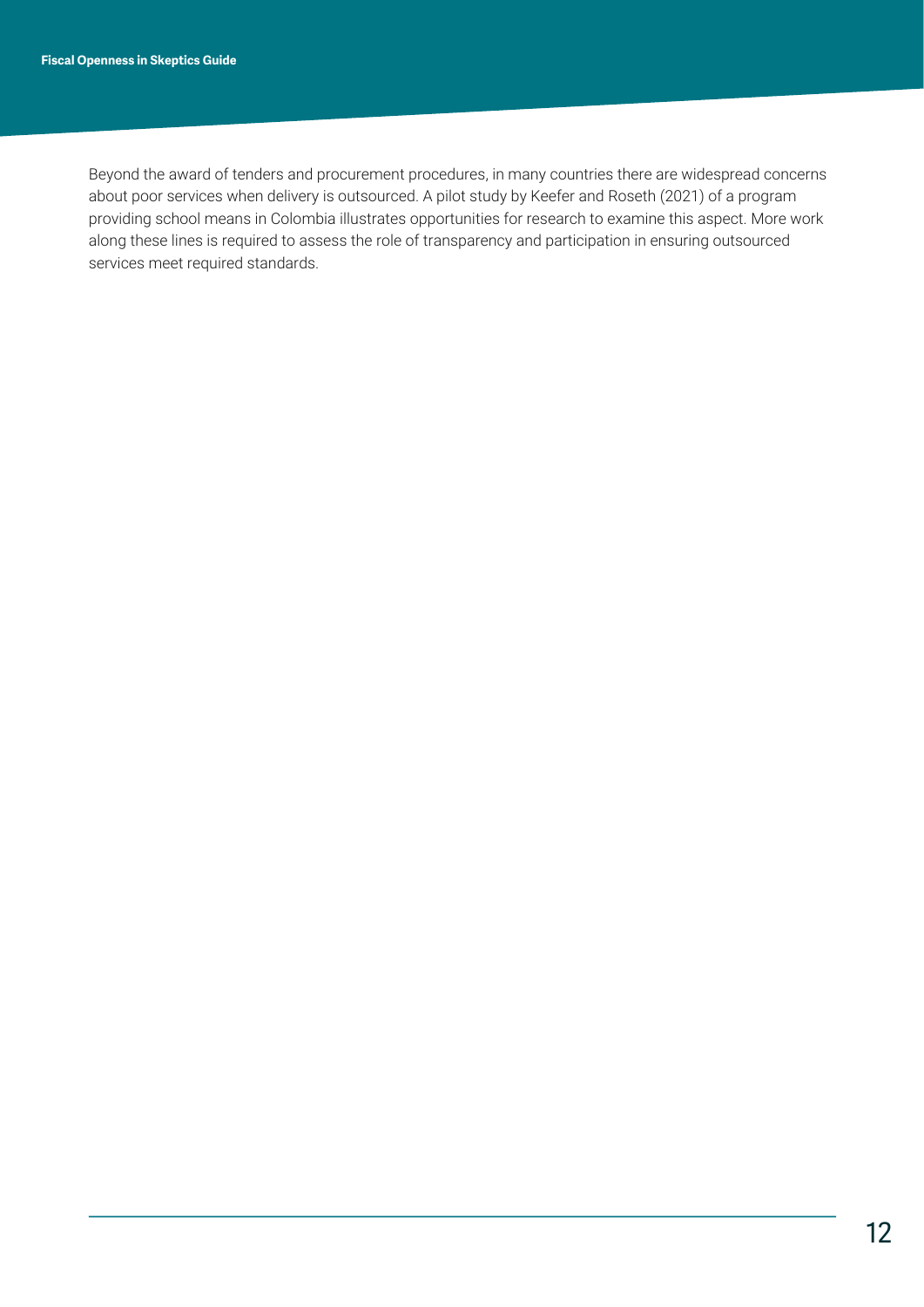Beyond the award of tenders and procurement procedures, in many countries there are widespread concerns about poor services when delivery is outsourced. A pilot study by Keefer and Roseth (2021) of a program providing school means in Colombia illustrates opportunities for research to examine this aspect. More work along these lines is required to assess the role of transparency and participation in ensuring outsourced services meet required standards.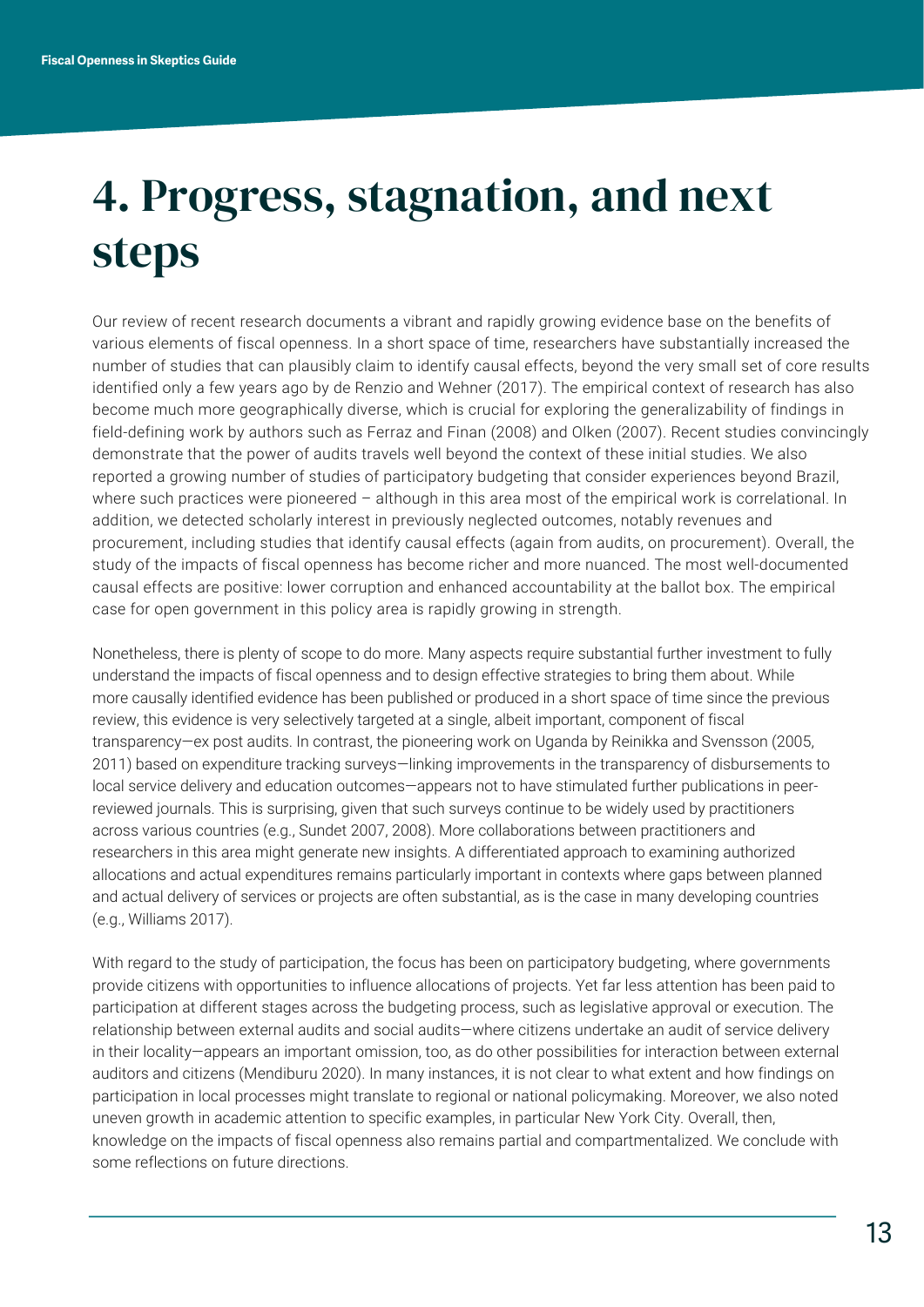## 4. Progress, stagnation, and next steps

Our review of recent research documents a vibrant and rapidly growing evidence base on the benefits of various elements of fiscal openness. In a short space of time, researchers have substantially increased the number of studies that can plausibly claim to identify causal effects, beyond the very small set of core results identified only a few years ago by de Renzio and Wehner (2017). The empirical context of research has also become much more geographically diverse, which is crucial for exploring the generalizability of findings in field-defining work by authors such as Ferraz and Finan (2008) and Olken (2007). Recent studies convincingly demonstrate that the power of audits travels well beyond the context of these initial studies. We also reported a growing number of studies of participatory budgeting that consider experiences beyond Brazil, where such practices were pioneered – although in this area most of the empirical work is correlational. In addition, we detected scholarly interest in previously neglected outcomes, notably revenues and procurement, including studies that identify causal effects (again from audits, on procurement). Overall, the study of the impacts of fiscal openness has become richer and more nuanced. The most well-documented causal effects are positive: lower corruption and enhanced accountability at the ballot box. The empirical case for open government in this policy area is rapidly growing in strength.

Nonetheless, there is plenty of scope to do more. Many aspects require substantial further investment to fully understand the impacts of fiscal openness and to design effective strategies to bring them about. While more causally identified evidence has been published or produced in a short space of time since the previous review, this evidence is very selectively targeted at a single, albeit important, component of fiscal transparency—ex post audits. In contrast, the pioneering work on Uganda by Reinikka and Svensson (2005, 2011) based on expenditure tracking surveys—linking improvements in the transparency of disbursements to local service delivery and education outcomes—appears not to have stimulated further publications in peerreviewed journals. This is surprising, given that such surveys continue to be widely used by practitioners across various countries (e.g., Sundet 2007, 2008). More collaborations between practitioners and researchers in this area might generate new insights. A differentiated approach to examining authorized allocations and actual expenditures remains particularly important in contexts where gaps between planned and actual delivery of services or projects are often substantial, as is the case in many developing countries (e.g., Williams 2017).

With regard to the study of participation, the focus has been on participatory budgeting, where governments provide citizens with opportunities to influence allocations of projects. Yet far less attention has been paid to participation at different stages across the budgeting process, such as legislative approval or execution. The relationship between external audits and social audits—where citizens undertake an audit of service delivery in their locality—appears an important omission, too, as do other possibilities for interaction between external auditors and citizens (Mendiburu 2020). In many instances, it is not clear to what extent and how findings on participation in local processes might translate to regional or national policymaking. Moreover, we also noted uneven growth in academic attention to specific examples, in particular New York City. Overall, then, knowledge on the impacts of fiscal openness also remains partial and compartmentalized. We conclude with some reflections on future directions.